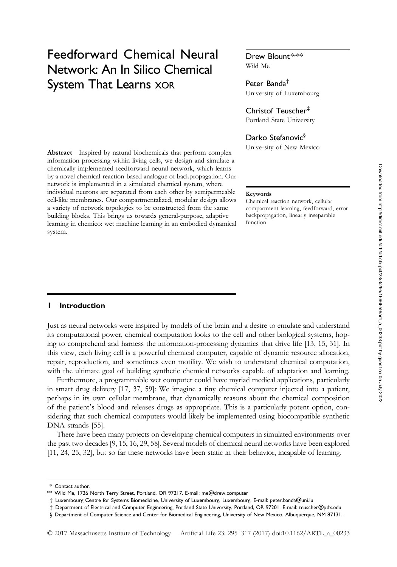# Feedforward Chemical Neural Network: An In Silico Chemical System That Learns XOR

Abstract Inspired by natural biochemicals that perform complex information processing within living cells, we design and simulate a chemically implemented feedforward neural network, which learns by a novel chemical-reaction-based analogue of backpropagation. Our network is implemented in a simulated chemical system, where individual neurons are separated from each other by semipermeable cell-like membranes. Our compartmentalized, modular design allows a variety of network topologies to be constructed from the same building blocks. This brings us towards general-purpose, adaptive learning in chemico: wet machine learning in an embodied dynamical system.

# Drew Blount\*,\*\*

Wild Me

#### Peter Banda†

University of Luxembourg

#### Christof Teuscher‡

Portland State University

### Darko Stefanovic§

University of New Mexico

#### Keywords

Chemical reaction network, cellular compartment learning, feedforward, error backpropagation, linearly inseparable function

#### 1 Introduction

Just as neural networks were inspired by models of the brain and a desire to emulate and understand its computational power, chemical computation looks to the cell and other biological systems, hoping to comprehend and harness the information-processing dynamics that drive life [13, 15, 31]. In this view, each living cell is a powerful chemical computer, capable of dynamic resource allocation, repair, reproduction, and sometimes even motility. We wish to understand chemical computation, with the ultimate goal of building synthetic chemical networks capable of adaptation and learning.

Furthermore, a programmable wet computer could have myriad medical applications, particularly in smart drug delivery [17, 37, 59]: We imagine a tiny chemical computer injected into a patient, perhaps in its own cellular membrane, that dynamically reasons about the chemical composition of the patient's blood and releases drugs as appropriate. This is a particularly potent option, considering that such chemical computers would likely be implemented using biocompatible synthetic DNA strands [55].

There have been many projects on developing chemical computers in simulated environments over the past two decades [9, 15, 16, 29, 58]. Several models of chemical neural networks have been explored [11, 24, 25, 32], but so far these networks have been static in their behavior, incapable of learning.

<sup>\*</sup> Contact author.

<sup>\*\*</sup> Wild Me, 1726 North Terry Street, Portland, OR 97217. E-mail: me@drew.computer

<sup>†</sup> Luxembourg Centre for Systems Biomedicine, University of Luxembourg, Luxembourg. E-mail: peter.banda@uni.lu

<sup>‡</sup> Department of Electrical and Computer Engineering, Portland State University, Portland, OR 97201. E-mail: teuscher@pdx.edu

<sup>§</sup> Department of Computer Science and Center for Biomedical Engineering, University of New Mexico, Albuquerque, NM 87131.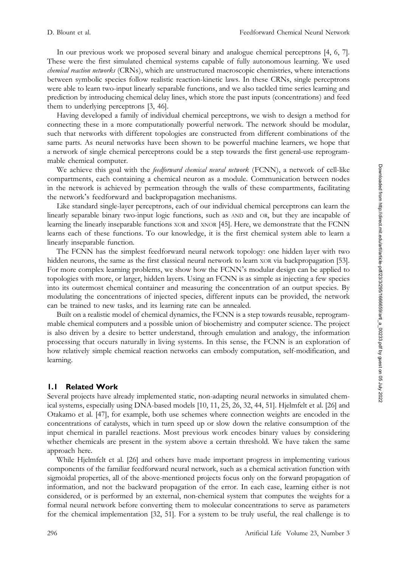In our previous work we proposed several binary and analogue chemical perceptrons [4, 6, 7]. These were the first simulated chemical systems capable of fully autonomous learning. We used chemical reaction networks (CRNs), which are unstructured macroscopic chemistries, where interactions between symbolic species follow realistic reaction-kinetic laws. In these CRNs, single perceptrons were able to learn two-input linearly separable functions, and we also tackled time series learning and prediction by introducing chemical delay lines, which store the past inputs (concentrations) and feed them to underlying perceptrons [3, 46].

Having developed a family of individual chemical perceptrons, we wish to design a method for connecting these in a more computationally powerful network. The network should be modular, such that networks with different topologies are constructed from different combinations of the same parts. As neural networks have been shown to be powerful machine learners, we hope that a network of single chemical perceptrons could be a step towards the first general-use reprogrammable chemical computer.

We achieve this goal with the *feedforward chemical neural network* (FCNN), a network of cell-like compartments, each containing a chemical neuron as a module. Communication between nodes in the network is achieved by permeation through the walls of these compartments, facilitating the network's feedforward and backpropagation mechanisms.

Like standard single-layer perceptrons, each of our individual chemical perceptrons can learn the linearly separable binary two-input logic functions, such as AND and OR, but they are incapable of learning the linearly inseparable functions XOR and XNOR [45]. Here, we demonstrate that the FCNN learns each of these functions. To our knowledge, it is the first chemical system able to learn a linearly inseparable function.

The FCNN has the simplest feedforward neural network topology: one hidden layer with two hidden neurons, the same as the first classical neural network to learn XOR via backpropagation [53]. For more complex learning problems, we show how the FCNN's modular design can be applied to topologies with more, or larger, hidden layers. Using an FCNN is as simple as injecting a few species into its outermost chemical container and measuring the concentration of an output species. By modulating the concentrations of injected species, different inputs can be provided, the network can be trained to new tasks, and its learning rate can be annealed.

Built on a realistic model of chemical dynamics, the FCNN is a step towards reusable, reprogrammable chemical computers and a possible union of biochemistry and computer science. The project is also driven by a desire to better understand, through emulation and analogy, the information processing that occurs naturally in living systems. In this sense, the FCNN is an exploration of how relatively simple chemical reaction networks can embody computation, self-modification, and learning.

# 1.1 Related Work

Several projects have already implemented static, non-adapting neural networks in simulated chemical systems, especially using DNA-based models [10, 11, 25, 26, 32, 44, 51]. Hjelmfelt et al. [26] and Otakamo et al. [47], for example, both use schemes where connection weights are encoded in the concentrations of catalysts, which in turn speed up or slow down the relative consumption of the input chemical in parallel reactions. Most previous work encodes binary values by considering whether chemicals are present in the system above a certain threshold. We have taken the same approach here.

While Hjelmfelt et al. [26] and others have made important progress in implementing various components of the familiar feedforward neural network, such as a chemical activation function with sigmoidal properties, all of the above-mentioned projects focus only on the forward propagation of information, and not the backward propagation of the error. In each case, learning either is not considered, or is performed by an external, non-chemical system that computes the weights for a formal neural network before converting them to molecular concentrations to serve as parameters for the chemical implementation [32, 51]. For a system to be truly useful, the real challenge is to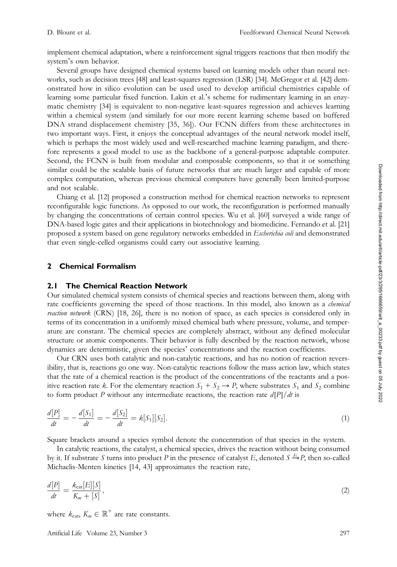implement chemical adaptation, where a reinforcement signal triggers reactions that then modify the system's own behavior.

Several groups have designed chemical systems based on learning models other than neural networks, such as decision trees [48] and least-squares regression (LSR) [34]. McGregor et al. [42] demonstrated how in silico evolution can be used used to develop artificial chemistries capable of learning some particular fixed function. Lakin et al.'s scheme for rudimentary learning in an enzymatic chemistry [34] is equivalent to non-negative least-squares regression and achieves learning within a chemical system (and similarly for our more recent learning scheme based on buffered DNA strand displacement chemistry [35, 36]). Our FCNN differs from these architectures in two important ways. First, it enjoys the conceptual advantages of the neural network model itself, which is perhaps the most widely used and well-researched machine learning paradigm, and therefore represents a good model to use as the backbone of a general-purpose adaptable computer. Second, the FCNN is built from modular and composable components, so that it or something similar could be the scalable basis of future networks that are much larger and capable of more complex computation, whereas previous chemical computers have generally been limited-purpose and not scalable.

Chiang et al. [12] proposed a construction method for chemical reaction networks to represent reconfigurable logic functions. As opposed to our work, the reconfiguration is performed manually by changing the concentrations of certain control species. Wu et al. [60] surveyed a wide range of DNA-based logic gates and their applications in biotechnology and biomedicine. Fernando et al. [21] proposed a system based on gene regulatory networks embedded in *Escherichia coli* and demonstrated that even single-celled organisms could carry out associative learning.

# 2 Chemical Formalism

#### 2.1 The Chemical Reaction Network

Our simulated chemical system consists of chemical species and reactions between them, along with rate coefficients governing the speed of those reactions. In this model, also known as a *chemical* reaction network (CRN) [18, 26], there is no notion of space, as each species is considered only in terms of its concentration in a uniformly mixed chemical bath where pressure, volume, and temperature are constant. The chemical species are completely abstract, without any defined molecular structure or atomic components. Their behavior is fully described by the reaction network, whose dynamics are deterministic, given the species' concentrations and the reaction coefficients.

Our CRN uses both catalytic and non-catalytic reactions, and has no notion of reaction reversibility, that is, reactions go one way. Non-catalytic reactions follow the mass action law, which states that the rate of a chemical reaction is the product of the concentrations of the reactants and a positive reaction rate k. For the elementary reaction  $S_1 + S_2 \rightarrow P$ , where substrates  $S_1$  and  $S_2$  combine to form product P without any intermediate reactions, the reaction rate  $d[P]/dt$  is

$$
\frac{d[P]}{dt} = -\frac{d[S_1]}{dt} = -\frac{d[S_2]}{dt} = k[S_1][S_2].
$$
\n(1)

Square brackets around a species symbol denote the concentration of that species in the system.

In catalytic reactions, the catalyst, a chemical species, drives the reaction without being consumed by it. If substrate S turns into product P in the presence of catalyst E, denoted  $S \to P$ , then so-called Michaelis-Menten kinetics [14, 43] approximates the reaction rate,

$$
\frac{d[P]}{dt} = \frac{k_{\text{cat}}[E][S]}{K_m + [S]},\tag{2}
$$

where  $k_{\text{cat}}$ ,  $K_m \in \mathbb{R}^+$  are rate constants.

Artificial Life Volume 23, Number 3 297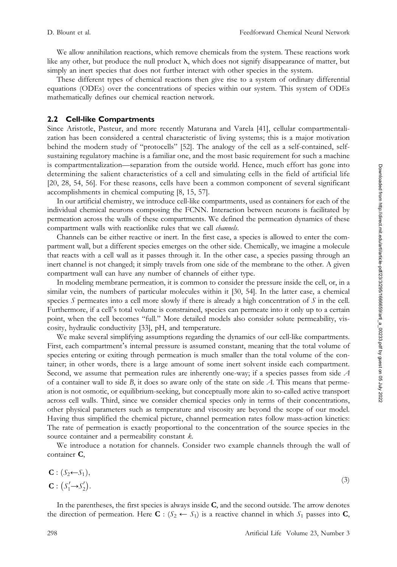We allow annihilation reactions, which remove chemicals from the system. These reactions work like any other, but produce the null product  $\lambda$ , which does not signify disappearance of matter, but simply an inert species that does not further interact with other species in the system.

These different types of chemical reactions then give rise to a system of ordinary differential equations (ODEs) over the concentrations of species within our system. This system of ODEs mathematically defines our chemical reaction network.

#### 2.2 Cell-like Compartments

Since Aristotle, Pasteur, and more recently Maturana and Varela [41], cellular compartmentalization has been considered a central characteristic of living systems; this is a major motivation behind the modern study of "protocells" [52]. The analogy of the cell as a self-contained, selfsustaining regulatory machine is a familiar one, and the most basic requirement for such a machine is compartmentalization—separation from the outside world. Hence, much effort has gone into determining the salient characteristics of a cell and simulating cells in the field of artificial life [20, 28, 54, 56]. For these reasons, cells have been a common component of several significant accomplishments in chemical computing [8, 15, 57].

In our artificial chemistry, we introduce cell-like compartments, used as containers for each of the individual chemical neurons composing the FCNN. Interaction between neurons is facilitated by permeation across the walls of these compartments. We defined the permeation dynamics of these compartment walls with reactionlike rules that we call *channels*.

Channels can be either reactive or inert. In the first case, a species is allowed to enter the compartment wall, but a different species emerges on the other side. Chemically, we imagine a molecule that reacts with a cell wall as it passes through it. In the other case, a species passing through an inert channel is not changed; it simply travels from one side of the membrane to the other. A given compartment wall can have any number of channels of either type.

In modeling membrane permeation, it is common to consider the pressure inside the cell, or, in a similar vein, the numbers of particular molecules within it [30, 54]. In the latter case, a chemical species  $S$  permeates into a cell more slowly if there is already a high concentration of  $S$  in the cell. Furthermore, if a cell's total volume is constrained, species can permeate into it only up to a certain point, when the cell becomes "full." More detailed models also consider solute permeability, viscosity, hydraulic conductivity [33], pH, and temperature.

We make several simplifying assumptions regarding the dynamics of our cell-like compartments. First, each compartment's internal pressure is assumed constant, meaning that the total volume of species entering or exiting through permeation is much smaller than the total volume of the container; in other words, there is a large amount of some inert solvent inside each compartment. Second, we assume that permeation rules are inherently one-way; if a species passes from side A of a container wall to side  $B$ , it does so aware only of the state on side  $A$ . This means that permeation is not osmotic, or equilibrium-seeking, but conceptually more akin to so-called active transport across cell walls. Third, since we consider chemical species only in terms of their concentrations, other physical parameters such as temperature and viscosity are beyond the scope of our model. Having thus simplified the chemical picture, channel permeation rates follow mass-action kinetics: The rate of permeation is exactly proportional to the concentration of the source species in the source container and a permeability constant  $k$ .

We introduce a notation for channels. Consider two example channels through the wall of container C,

$$
\mathbf{C}: (S_2 \leftarrow S_1), \n\mathbf{C}: (S'_1 \rightarrow S'_2).
$$
\n(3)

In the parentheses, the first species is always inside C, and the second outside. The arrow denotes the direction of permeation. Here  $\mathbf{C}$  :  $(S_2 \leftarrow S_1)$  is a reactive channel in which  $S_1$  passes into  $\mathbf{C}$ ,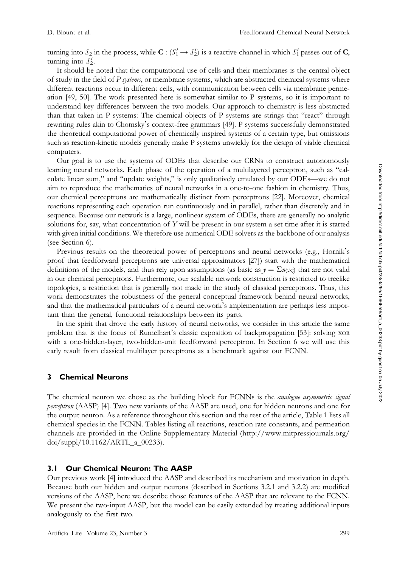turning into  $S_2$  in the process, while  $\mathbf{C}$  :  $(S_1' \to S_2')$  is a reactive channel in which  $S_1'$  passes out of  $\mathbf{C}$ , turning into  $S'_2$ .

It should be noted that the computational use of cells and their membranes is the central object of study in the field of  $P$  systems, or membrane systems, which are abstracted chemical systems where different reactions occur in different cells, with communication between cells via membrane permeation [49, 50]. The work presented here is somewhat similar to P systems, so it is important to understand key differences between the two models. Our approach to chemistry is less abstracted than that taken in P systems: The chemical objects of P systems are strings that "react" through rewriting rules akin to Chomsky's context-free grammars [49]. P systems successfully demonstrated the theoretical computational power of chemically inspired systems of a certain type, but omissions such as reaction-kinetic models generally make P systems unwieldy for the design of viable chemical computers.

Our goal is to use the systems of ODEs that describe our CRNs to construct autonomously learning neural networks. Each phase of the operation of a multilayered perceptron, such as "calculate linear sum," and "update weights," is only qualitatively emulated by our ODEs—we do not aim to reproduce the mathematics of neural networks in a one-to-one fashion in chemistry. Thus, our chemical perceptrons are mathematically distinct from perceptrons [22]. Moreover, chemical reactions representing each operation run continuously and in parallel, rather than discretely and in sequence. Because our network is a large, nonlinear system of ODEs, there are generally no analytic solutions for, say, what concentration of Y will be present in our system a set time after it is started with given initial conditions. We therefore use numerical ODE solvers as the backbone of our analysis (see Section 6).

Previous results on the theoretical power of perceptrons and neural networks (e.g., Hornik's proof that feedforward perceptrons are universal approximators [27]) start with the mathematical definitions of the models, and thus rely upon assumptions (as basic as  $y = \sum w_i x_i$ ) that are not valid in our chemical perceptrons. Furthermore, our scalable network construction is restricted to treelike topologies, a restriction that is generally not made in the study of classical perceptrons. Thus, this work demonstrates the robustness of the general conceptual framework behind neural networks, and that the mathematical particulars of a neural network's implementation are perhaps less important than the general, functional relationships between its parts.

In the spirit that drove the early history of neural networks, we consider in this article the same problem that is the focus of Rumelhart's classic exposition of backpropagation [53]: solving XOR with a one-hidden-layer, two-hidden-unit feedforward perceptron. In Section 6 we will use this early result from classical multilayer perceptrons as a benchmark against our FCNN.

# 3 Chemical Neurons

The chemical neuron we chose as the building block for FCNNs is the *analogue asymmetric signal* perceptron (AASP) [4]. Two new variants of the AASP are used, one for hidden neurons and one for the output neuron. As a reference throughout this section and the rest of the article, Table 1 lists all chemical species in the FCNN. Tables listing all reactions, reaction rate constants, and permeation channels are provided in the Online Supplementary Material (http://www.mitpressjournals.org/ doi/suppl/10.1162/ARTL\_a\_00233).

# 3.1 Our Chemical Neuron: The AASP

Our previous work [4] introduced the AASP and described its mechanism and motivation in depth. Because both our hidden and output neurons (described in Sections 3.2.1 and 3.2.2) are modified versions of the AASP, here we describe those features of the AASP that are relevant to the FCNN. We present the two-input AASP, but the model can be easily extended by treating additional inputs analogously to the first two.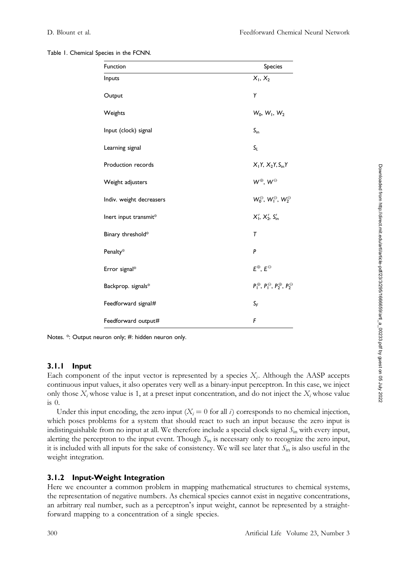| Table 1. Chemical Species in the FCNN. |  |  |
|----------------------------------------|--|--|
|                                        |  |  |

| Function                 | Species                                                             |
|--------------------------|---------------------------------------------------------------------|
| Inputs                   | $X_1, X_2$                                                          |
| Output                   | Y                                                                   |
| Weights                  | $W_0, W_1, W_2$                                                     |
| Input (clock) signal     | $S_{\rm in}$                                                        |
| Learning signal          | $S_L$                                                               |
| Production records       | $X_1Y_1X_2Y_2S_{in}Y$                                               |
| Weight adjusters         | $W^{\oplus}$ , $W^{\ominus}$                                        |
| Indiv. weight decreasers | $W_0^\ominus$ , $W_1^\ominus$ , $W_2^\ominus$                       |
| Inert input transmit*    | $X'_1, X'_2, S'_m$                                                  |
| Binary threshold*        | $\tau$                                                              |
| Penalty*                 | P                                                                   |
| Error signal*            | $E^{\oplus}$ , $E^{\ominus}$                                        |
| Backprop. signals*       | $P_1^{\oplus}$ , $P_1^{\ominus}$ , $P_2^{\oplus}$ , $P_2^{\ominus}$ |
| Feedforward signal#      | $S_F$                                                               |
| Feedforward output#      | F                                                                   |

Notes. \*: Output neuron only; #: hidden neuron only.

#### 3.1.1 Input

Each component of the input vector is represented by a species  $X_i$ . Although the AASP accepts continuous input values, it also operates very well as a binary-input perceptron. In this case, we inject only those  $X_i$  whose value is 1, at a preset input concentration, and do not inject the  $X_i$  whose value is 0.

Under this input encoding, the zero input  $(X_i = 0$  for all i) corresponds to no chemical injection, which poses problems for a system that should react to such an input because the zero input is indistinguishable from no input at all. We therefore include a special clock signal  $S_{\text{in}}$  with every input, alerting the perceptron to the input event. Though  $S_{\text{in}}$  is necessary only to recognize the zero input, it is included with all inputs for the sake of consistency. We will see later that  $S_{\text{in}}$  is also useful in the weight integration.

# 3.1.2 Input-Weight Integration

Here we encounter a common problem in mapping mathematical structures to chemical systems, the representation of negative numbers. As chemical species cannot exist in negative concentrations, an arbitrary real number, such as a perceptron's input weight, cannot be represented by a straightforward mapping to a concentration of a single species.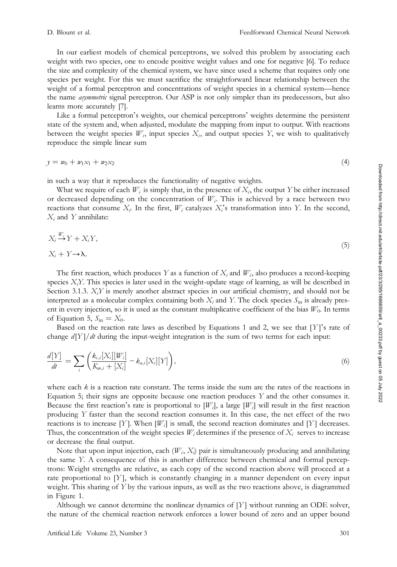In our earliest models of chemical perceptrons, we solved this problem by associating each weight with two species, one to encode positive weight values and one for negative [6]. To reduce the size and complexity of the chemical system, we have since used a scheme that requires only one species per weight. For this we must sacrifice the straightforward linear relationship between the weight of a formal perceptron and concentrations of weight species in a chemical system—hence the name *asymmetric* signal perceptron. Our ASP is not only simpler than its predecessors, but also learns more accurately [7].

Like a formal perceptron's weights, our chemical perceptrons' weights determine the persistent state of the system and, when adjusted, modulate the mapping from input to output. With reactions between the weight species  $W_i$ , input species  $X_i$ , and output species  $Y$ , we wish to qualitatively reproduce the simple linear sum

$$
y = w_0 + w_1 x_1 + w_2 x_2 \tag{4}
$$

in such a way that it reproduces the functionality of negative weights.

What we require of each  $W_i$  is simply that, in the presence of  $X_i$ , the output Y be either increased or decreased depending on the concentration of  $W_i$ . This is achieved by a race between two reactions that consume  $X_i$ . In the first,  $W_i$  catalyzes  $X_i$ 's transformation into Y. In the second,  $X_i$  and Y annihilate:

$$
X_i \stackrel{W_i}{\to} Y + X_i Y,
$$
  

$$
X_i + Y \to \lambda.
$$
 (5)

The first reaction, which produces Y as a function of  $X_i$  and  $W_i$ , also produces a record-keeping species  $X_i$ . This species is later used in the weight-update stage of learning, as will be described in Section 3.1.3.  $X_i Y$  is merely another abstract species in our artificial chemistry, and should not be interpreted as a molecular complex containing both  $X_i$  and Y. The clock species  $S_{in}$  is already present in every injection, so it is used as the constant multiplicative coefficient of the bias  $W_0$ . In terms of Equation 5,  $S_{\text{in}} = X_0$ .

Based on the reaction rate laws as described by Equations 1 and 2, we see that  $[Y]$ 's rate of change  $d[Y]/dt$  during the input-weight integration is the sum of two terms for each input:

$$
\frac{d[Y]}{dt} = \sum_{i} \left( \frac{k_{c,i}[X_i][W_i]}{K_{m,i} + [X_i]} - k_{a,i}[X_i][Y] \right),\tag{6}
$$

where each  $k$  is a reaction rate constant. The terms inside the sum are the rates of the reactions in Equation 5; their signs are opposite because one reaction produces  $Y$  and the other consumes it. Because the first reaction's rate is proportional to  $[W_i]$ , a large  $[W_i]$  will result in the first reaction producing Y faster than the second reaction consumes it. In this case, the net effect of the two reactions is to increase [Y]. When  $[W_i]$  is small, the second reaction dominates and [Y] decreases. Thus, the concentration of the weight species  $W_i$  determines if the presence of  $X_i$  serves to increase or decrease the final output.

Note that upon input injection, each  $(W_i, X_i)$  pair is simultaneously producing and annihilating the same Y. A consequence of this is another difference between chemical and formal perceptrons: Weight strengths are relative, as each copy of the second reaction above will proceed at a rate proportional to  $[Y]$ , which is constantly changing in a manner dependent on every input weight. This sharing of Y by the various inputs, as well as the two reactions above, is diagrammed in Figure 1.

Although we cannot determine the nonlinear dynamics of  $[Y]$  without running an ODE solver, the nature of the chemical reaction network enforces a lower bound of zero and an upper bound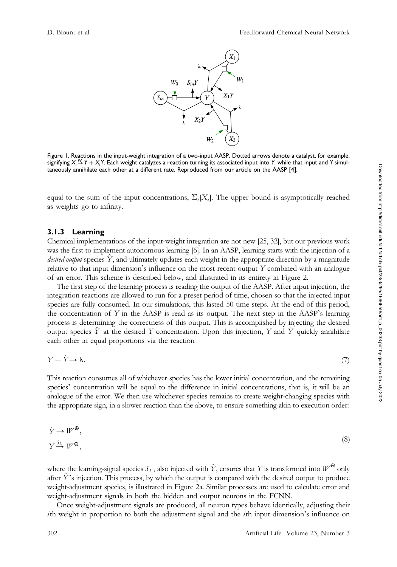

Figure 1. Reactions in the input-weight integration of a two-input AASP. Dotted arrows denote a catalyst, for example, signifying  $X_i \overset{W_i}{\to} Y + X_iY$ . Each weight catalyzes a reaction turning its associated input into Y, while that input and Y simultaneously annihilate each other at a different rate. Reproduced from our article on the AASP [4].

equal to the sum of the input concentrations,  $\Sigma_i[X_i]$ . The upper bound is asymptotically reached as weights go to infinity.

#### 3.1.3 Learning

Chemical implementations of the input-weight integration are not new [25, 32], but our previous work was the first to implement autonomous learning [6]. In an AASP, learning starts with the injection of a desired output species  $Y$ , and ultimately updates each weight in the appropriate direction by a magnitude relative to that input dimension's influence on the most recent output Y combined with an analogue of an error. This scheme is described below, and illustrated in its entirety in Figure 2.

The first step of the learning process is reading the output of the AASP. After input injection, the integration reactions are allowed to run for a preset period of time, chosen so that the injected input species are fully consumed. In our simulations, this lasted 50 time steps. At the end of this period, the concentration of  $Y$  in the AASP is read as its output. The next step in the AASP's learning process is determining the correctness of this output. This is accomplished by injecting the desired output species  $\hat{Y}$  at the desired Y concentration. Upon this injection, Y and  $\hat{Y}$  quickly annihilate each other in equal proportions via the reaction

$$
Y + \hat{Y} \to \lambda. \tag{7}
$$

This reaction consumes all of whichever species has the lower initial concentration, and the remaining species' concentration will be equal to the difference in initial concentrations, that is, it will be an analogue of the error. We then use whichever species remains to create weight-changing species with the appropriate sign, in a slower reaction than the above, to ensure something akin to execution order:

$$
\hat{Y} \to W^{\oplus},
$$
  
\n
$$
Y \xrightarrow{S_L} W^{\ominus},
$$
\n(8)

where the learning-signal species  $S_L$ , also injected with Y, ensures that Y is transformed into  $W^{\Theta}$  only after  $Y$ 's injection. This process, by which the output is compared with the desired output to produce weight-adjustment species, is illustrated in Figure 2a. Similar processes are used to calculate error and weight-adjustment signals in both the hidden and output neurons in the FCNN.

Once weight-adjustment signals are produced, all neuron types behave identically, adjusting their ith weight in proportion to both the adjustment signal and the *i*th input dimension's influence on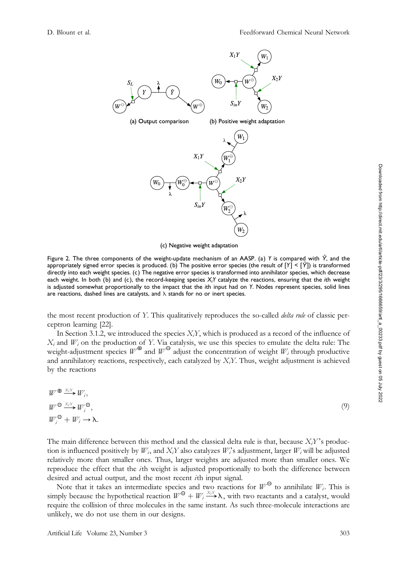

(c) Negative weight adaptation

Figure 2. The three components of the weight-update mechanism of an AASP. (a) Y is compared with  $\hat{Y}$ , and the appropriately signed error species is produced. (b) The positive error species (the result of  $[Y] < [Y]$ ) is transformed directly into each weight species. (c) The negative error species is transformed into annihilator species, which decrease each weight. In both (b) and (c), the record-keeping species  $X_iY$  catalyze the reactions, ensuring that the ith weight is adjusted somewhat proportionally to the impact that the ith input had on Y. Nodes represent species, solid lines are reactions, dashed lines are catalysts, and  $\lambda$  stands for no or inert species.

the most recent production of Y. This qualitatively reproduces the so-called *delta rule* of classic perceptron learning [22].

In Section 3.1.2, we introduced the species  $X_iY$ , which is produced as a record of the influence of  $X_i$  and  $W_i$  on the production of Y. Via catalysis, we use this species to emulate the delta rule: The weight-adjustment species  $W^{\oplus}$  and  $W^{\ominus}$  adjust the concentration of weight  $W_i$  through productive and annihilatory reactions, respectively, each catalyzed by  $X_iY$ . Thus, weight adjustment is achieved by the reactions

| $W^{\bigoplus \frac{X_iY}{\longrightarrow}}W_i,$                      |     |
|-----------------------------------------------------------------------|-----|
| $W^{\Theta} \longrightarrow^{\scriptscriptstyle X_i Y} W_i^{\Theta},$ | (9) |
| $W_i^{\Theta} + W_i \rightarrow \lambda$ .                            |     |

The main difference between this method and the classical delta rule is that, because  $X_iY$ 's production is influenced positively by  $W_i$ , and  $X_iY$  also catalyzes  $W_i$ 's adjustment, larger  $W_i$  will be adjusted relatively more than smaller ones. Thus, larger weights are adjusted more than smaller ones. We reproduce the effect that the ith weight is adjusted proportionally to both the difference between desired and actual output, and the most recent ith input signal.

Note that it takes an intermediate species and two reactions for  $W^{\Theta}$  to annihilate  $W_i$ . This is simply because the hypothetical reaction  $W^{\Theta} + W_i \xrightarrow{X_i Y} \lambda$ , with two reactants and a catalyst, would require the collision of three molecules in the same instant. As such three-molecule interactions are unlikely, we do not use them in our designs.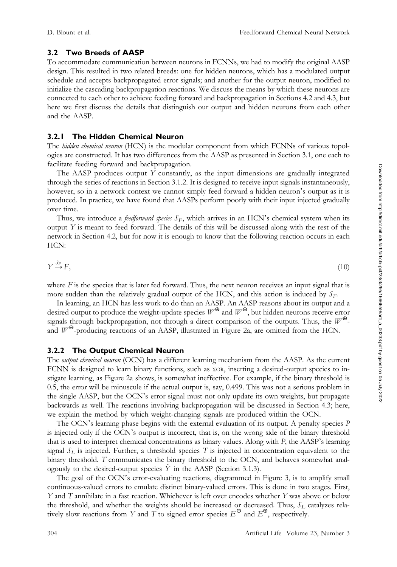### 3.2 Two Breeds of AASP

To accommodate communication between neurons in FCNNs, we had to modify the original AASP design. This resulted in two related breeds: one for hidden neurons, which has a modulated output schedule and accepts backpropagated error signals; and another for the output neuron, modified to initialize the cascading backpropagation reactions. We discuss the means by which these neurons are connected to each other to achieve feeding forward and backpropagation in Sections 4.2 and 4.3, but here we first discuss the details that distinguish our output and hidden neurons from each other and the AASP.

### 3.2.1 The Hidden Chemical Neuron

The hidden chemical neuron (HCN) is the modular component from which FCNNs of various topologies are constructed. It has two differences from the AASP as presented in Section 3.1, one each to facilitate feeding forward and backpropagation.

The AASP produces output  $Y$  constantly, as the input dimensions are gradually integrated through the series of reactions in Section 3.1.2. It is designed to receive input signals instantaneously, however, so in a network context we cannot simply feed forward a hidden neuron's output as it is produced. In practice, we have found that AASPs perform poorly with their input injected gradually over time.

Thus, we introduce a *feedforward species*  $S_F$ , which arrives in an HCN's chemical system when its output  $Y$  is meant to feed forward. The details of this will be discussed along with the rest of the network in Section 4.2, but for now it is enough to know that the following reaction occurs in each HCN:

$$
Y \xrightarrow{S_F} F,\tag{10}
$$

where  $F$  is the species that is later fed forward. Thus, the next neuron receives an input signal that is more sudden than the relatively gradual output of the HCN, and this action is induced by  $S_F$ .

In learning, an HCN has less work to do than an AASP. An AASP reasons about its output and a desired output to produce the weight-update species  $W^{\oplus}$  and  $W^{\ominus}$ , but hidden neurons receive error signals through backpropagation, not through a direct comparison of the outputs. Thus, the  $W^{\oplus}$ and  $W^{\Theta}$ -producing reactions of an AASP, illustrated in Figure 2a, are omitted from the HCN.

#### 3.2.2 The Output Chemical Neuron

The output chemical neuron (OCN) has a different learning mechanism from the AASP. As the current FCNN is designed to learn binary functions, such as XOR, inserting a desired-output species to instigate learning, as Figure 2a shows, is somewhat ineffective. For example, if the binary threshold is 0.5, the error will be minuscule if the actual output is, say, 0.499. This was not a serious problem in the single AASP, but the OCN's error signal must not only update its own weights, but propagate backwards as well. The reactions involving backpropagation will be discussed in Section 4.3; here, we explain the method by which weight-changing signals are produced within the OCN.

The OCN's learning phase begins with the external evaluation of its output. A penalty species P is injected only if the OCN's output is incorrect, that is, on the wrong side of the binary threshold that is used to interpret chemical concentrations as binary values. Along with P, the AASP's learning signal  $S<sub>L</sub>$  is injected. Further, a threshold species T is injected in concentration equivalent to the binary threshold. T communicates the binary threshold to the OCN, and behaves somewhat analogously to the desired-output species  $\hat{Y}$  in the AASP (Section 3.1.3).

The goal of the OCN's error-evaluating reactions, diagrammed in Figure 3, is to amplify small continuous-valued errors to emulate distinct binary-valued errors. This is done in two stages. First, Y and T annihilate in a fast reaction. Whichever is left over encodes whether Y was above or below the threshold, and whether the weights should be increased or decreased. Thus,  $S_L$  catalyzes relatively slow reactions from Y and T to signed error species  $E^{\Theta}$  and  $E^{\Phi}$ , respectively.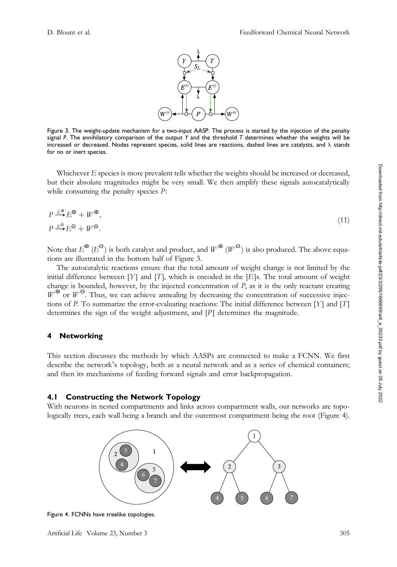

Figure 3. The weight-update mechanism for a two-input AASP. The process is started by the injection of the penalty signal P. The annihilatory comparison of the output Y and the threshold T determines whether the weights will be increased or decreased. Nodes represent species, solid lines are reactions, dashed lines are catalysts, and  $\lambda$  stands for no or inert species.

Whichever E species is more prevalent tells whether the weights should be increased or decreased, but their absolute magnitudes might be very small. We then amplify these signals autocatalytically while consuming the penalty species  $P$ :

$$
P \xrightarrow{E^{\oplus}} E^{\oplus} + W^{\oplus},
$$
  
\n
$$
P \xrightarrow{E^{\oplus}} E^{\ominus} + W^{\ominus}.
$$
\n(11)

Note that  $E^{\Theta}$  ( $E^{\Theta}$ ) is both catalyst and product, and  $W^{\Theta}$  ( $W^{\Theta}$ ) is also produced. The above equations are illustrated in the bottom half of Figure 3.

The autocatalytic reactions ensure that the total amount of weight change is not limited by the initial difference between  $[Y]$  and  $[T]$ , which is encoded in the  $[E]$ s. The total amount of weight change is bounded, however, by the injected concentration of  $P$ , as it is the only reactant creating  $W^{\oplus}$  or  $W^{\ominus}$ . Thus, we can achieve annealing by decreasing the concentration of successive injections of P. To summarize the error-evaluating reactions: The initial difference between [Y] and [T] determines the sign of the weight adjustment, and  $[P]$  determines the magnitude.

#### 4 Networking

This section discusses the methods by which AASPs are connected to make a FCNN. We first describe the network's topology, both as a neural network and as a series of chemical containers; and then its mechanisms of feeding forward signals and error backpropagation.

#### 4.1 Constructing the Network Topology

With neurons in nested compartments and links across compartment walls, our networks are topologically trees, each wall being a branch and the outermost compartment being the root (Figure 4).



Figure 4. FCNNs have treelike topologies.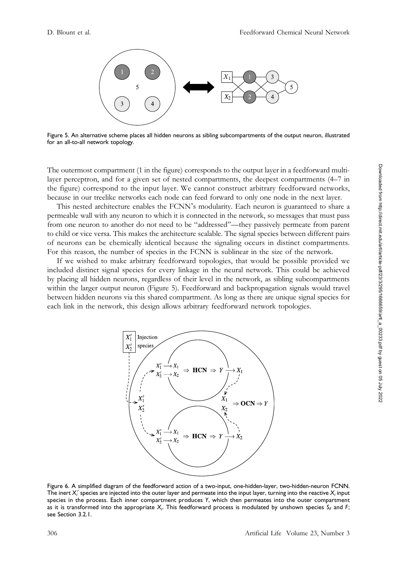

Figure 5. An alternative scheme places all hidden neurons as sibling subcompartments of the output neuron, illustrated for an all-to-all network topology.

The outermost compartment (1 in the figure) corresponds to the output layer in a feedforward multilayer perceptron, and for a given set of nested compartments, the deepest compartments (4–7 in the figure) correspond to the input layer. We cannot construct arbitrary feedforward networks, because in our treelike networks each node can feed forward to only one node in the next layer.

This nested architecture enables the FCNN's modularity. Each neuron is guaranteed to share a permeable wall with any neuron to which it is connected in the network, so messages that must pass from one neuron to another do not need to be "addressed"—they passively permeate from parent to child or vice versa. This makes the architecture scalable. The signal species between different pairs of neurons can be chemically identical because the signaling occurs in distinct compartments. For this reason, the number of species in the FCNN is sublinear in the size of the network.

If we wished to make arbitrary feedforward topologies, that would be possible provided we included distinct signal species for every linkage in the neural network. This could be achieved by placing all hidden neurons, regardless of their level in the network, as sibling subcompartments within the larger output neuron (Figure 5). Feedforward and backpropagation signals would travel between hidden neurons via this shared compartment. As long as there are unique signal species for each link in the network, this design allows arbitrary feedforward network topologies.



Figure 6. A simplified diagram of the feedforward action of a two-input, one-hidden-layer, two-hidden-neuron FCNN. The inert  $X_i^\prime$  species are injected into the outer layer and permeate into the input layer, turning into the reactive  $X_i$  input species in the process. Each inner compartment produces Y, which then permeates into the outer compartment as it is transformed into the appropriate  $X_i$ . This feedforward process is modulated by unshown species  $S_F$  and  $F$ ; see Section 3.2.1.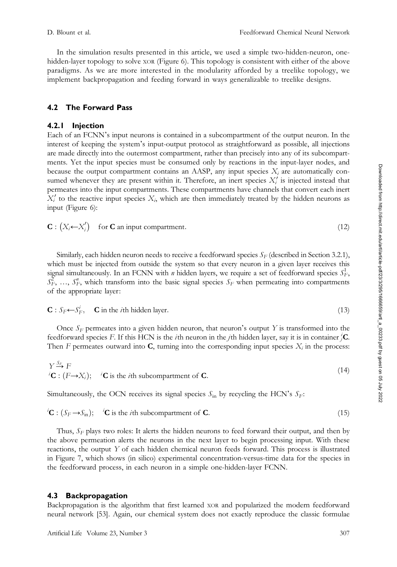In the simulation results presented in this article, we used a simple two-hidden-neuron, onehidden-layer topology to solve XOR (Figure 6). This topology is consistent with either of the above paradigms. As we are more interested in the modularity afforded by a treelike topology, we implement backpropagation and feeding forward in ways generalizable to treelike designs.

# 4.2 The Forward Pass

### 4.2.1 Injection

Each of an FCNN's input neurons is contained in a subcompartment of the output neuron. In the interest of keeping the system's input-output protocol as straightforward as possible, all injections are made directly into the outermost compartment, rather than precisely into any of its subcompartments. Yet the input species must be consumed only by reactions in the input-layer nodes, and because the output compartment contains an AASP, any input species  $X_i$  are automatically consumed whenever they are present within it. Therefore, an inert species  $X_i$  is injected instead that permeates into the input compartments. These compartments have channels that convert each inert  $X_i'$  to the reactive input species  $X_i$ , which are then immediately treated by the hidden neurons as input (Figure 6):

$$
\mathbf{C}: (X_i \leftarrow X_i') \quad \text{for } \mathbf{C} \text{ an input compartment.} \tag{12}
$$

Similarly, each hidden neuron needs to receive a feedforward species  $S_F$  (described in Section 3.2.1), which must be injected from outside the system so that every neuron in a given layer receives this signal simultaneously. In an FCNN with *n* hidden layers, we require a set of feedforward species  $S_F^1$ ,  $S_F^{\widetilde{Z}}$ , ...,  $S_F^{\prime\prime}$ , which transform into the basic signal species  $S_F$  when permeating into compartments of the appropriate layer:

 $\mathbf{C}: S_F \leftarrow S_F^i, \quad \mathbf{C}$  in the *i*th hidden layer. (13)

Once  $S_F$  permeates into a given hidden neuron, that neuron's output Y is transformed into the feedforward species F. If this HCN is the *i*th neuron in the *j*th hidden layer, say it is in container  ${}^i_j$ **C**. Then F permeates outward into  $C$ , turning into the corresponding input species  $X_i$  in the process:

$$
Y \xrightarrow{S_F} F
$$
  
\n
$$
{}^{i}C : (F \rightarrow X_i);
$$
\n
$$
{}^{i}C \text{ is the } i\text{th subcompartment of } C.
$$
\n(14)

Simultaneously, the OCN receives its signal species  $S_{\text{in}}$  by recycling the HCN's  $S_F$ :

$$
{}^{i}\mathbf{C} : (S_F \rightarrow S_{\text{in}}); \quad {}^{i}\mathbf{C} \text{ is the } i\text{th subcompartment of } \mathbf{C}. \tag{15}
$$

Thus,  $S_F$  plays two roles: It alerts the hidden neurons to feed forward their output, and then by the above permeation alerts the neurons in the next layer to begin processing input. With these reactions, the output Y of each hidden chemical neuron feeds forward. This process is illustrated in Figure 7, which shows (in silico) experimental concentration-versus-time data for the species in the feedforward process, in each neuron in a simple one-hidden-layer FCNN.

#### 4.3 Backpropagation

Backpropagation is the algorithm that first learned XOR and popularized the modern feedforward neural network [53]. Again, our chemical system does not exactly reproduce the classic formulae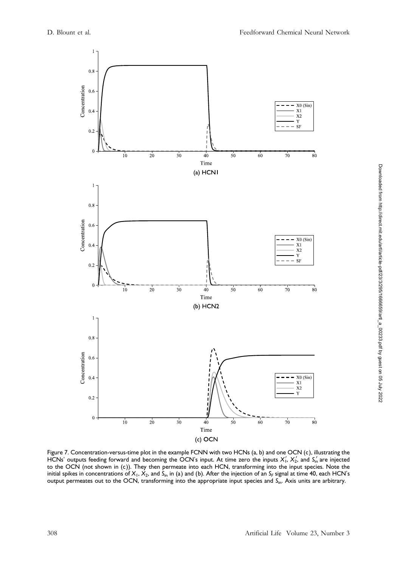

Figure 7. Concentration-versus-time plot in the example FCNN with two HCNs (a, b) and one OCN (c ), illustrating the HCNs' outputs feeding forward and becoming the OCN's input. At time zero the inputs  $X'_1$ ,  $X'_2$ , and  $S'_{1n}$  are injected to the OCN (not shown in (c)). They then permeate into each HCN, transforming into the input species. Note the initial spikes in concentrations of  $X_1$ ,  $X_2$ , and  $S_{in}$  in (a) and (b). After the injection of an  $S_F$  signal at time 40, each HCN's output permeates out to the OCN, transforming into the appropriate input species and S<sub>in</sub>. Axis units are arbitrary.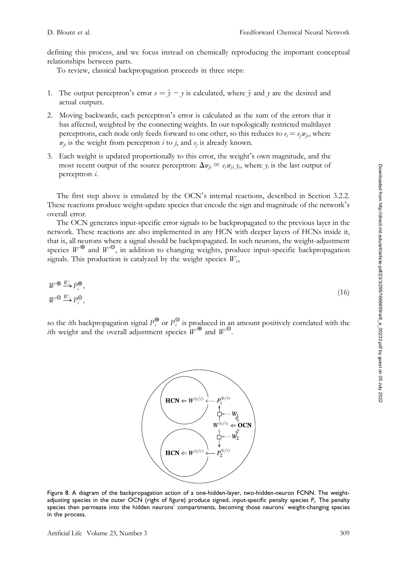defining this process, and we focus instead on chemically reproducing the important conceptual relationships between parts.

To review, classical backpropagation proceeds in three steps:

- 1. The output perceptron's error  $e = \hat{y} y$  is calculated, where  $\hat{y}$  and y are the desired and actual outputs.
- 2. Moving backwards, each perceptron's error is calculated as the sum of the errors that it has affected, weighted by the connecting weights. In our topologically restricted multilayer perceptrons, each node only feeds forward to one other, so this reduces to  $e_i = e_i w_{ij}$ , where  $w_{ij}$  is the weight from perceptron *i* to *j*, and  $e_j$  is already known.
- 3. Each weight is updated proportionally to this error, the weight's own magnitude, and the most recent output of the source perceptron:  $\Delta w_{ji} \propto e_i w_{ji} y_i$ , where  $y_i$  is the last output of perceptron i.

The first step above is emulated by the OCN's internal reactions, described in Section 3.2.2. These reactions produce weight-update species that encode the sign and magnitude of the network's overall error.

The OCN generates input-specific error signals to be backpropagated to the previous layer in the network. These reactions are also implemented in any HCN with deeper layers of HCNs inside it, that is, all neurons where a signal should be backpropagated. In such neurons, the weight-adjustment species  $W^{\oplus}$  and  $W^{\ominus}$ , in addition to changing weights, produce input-specific backpropagation signals. This production is catalyzed by the weight species  $W_i$ ,

$$
W^{\oplus} \xrightarrow{W_i} P_i^{\oplus},
$$
  
\n
$$
W^{\ominus} \xrightarrow{W_i} P_i^{\ominus},
$$
\n
$$
(16)
$$

so the *i*th backpropagation signal  $P_i^{\oplus}$  or  $P_i^{\ominus}$  is produced in an amount positively correlated with the *i*th weight and the overall adjustment species  $W^{\oplus}$  and  $W^{\ominus}$ .



Figure 8. A diagram of the backpropagation action of a one-hidden-layer, two-hidden-neuron FCNN. The weightadjusting species in the outer OCN (right of figure) produce signed, input-specific penalty species  $P_i$ . The penalty species then permeate into the hidden neurons' compartments, becoming those neurons' weight-changing species in the process.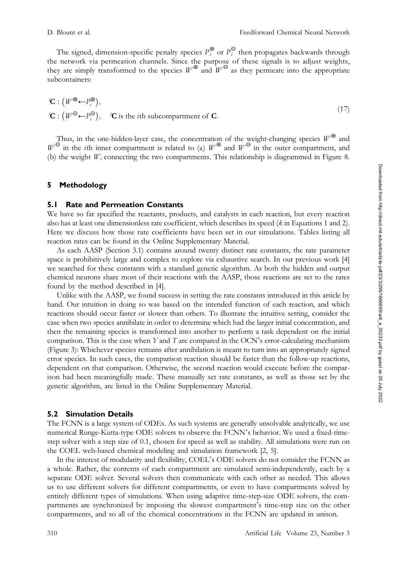The signed, dimension-specific penalty species  $P_i^{\oplus}$  or  $P_i^{\ominus}$  then propagates backwards through the network via permeation channels. Since the purpose of these signals is to adjust weights, they are simply transformed to the species  $W^{\bigoplus}$  and  $W^{\bigominus}$  as they permeate into the appropriate subcontainers:

$$
{}^{i}\mathbf{C} : (W^{\oplus} \leftarrow P_i^{\oplus}),
$$
  
\n
$$
{}^{i}\mathbf{C} : (W^{\oplus} \leftarrow P_i^{\oplus}), \quad {}^{i}\mathbf{C} \text{ is the } i\text{th subcompartment of } \mathbf{C}.
$$
 (17)

Thus, in the one-hidden-layer case, the concentration of the weight-changing species  $W^\mathbf{\oplus}$  and  $W^{\Theta}$  in the *i*th inner compartment is related to (a)  $W^{\Theta}$  and  $W^{\Theta}$  in the outer compartment, and (b) the weight  $W_i$  connecting the two compartments. This relationship is diagrammed in Figure 8.

#### 5 Methodology

### 5.1 Rate and Permeation Constants

We have so far specified the reactants, products, and catalysts in each reaction, but every reaction also has at least one dimensionless rate coefficient, which describes its speed (k in Equations 1 and 2). Here we discuss how those rate coefficients have been set in our simulations. Tables listing all reaction rates can be found in the Online Supplementary Material.

As each AASP (Section 3.1) contains around twenty distinct rate constants, the rate parameter space is prohibitively large and complex to explore via exhaustive search. In our previous work [4] we searched for these constants with a standard genetic algorithm. As both the hidden and output chemical neurons share most of their reactions with the AASP, those reactions are set to the rates found by the method described in [4].

Unlike with the AASP, we found success in setting the rate constants introduced in this article by hand. Our intuition in doing so was based on the intended function of each reaction, and which reactions should occur faster or slower than others. To illustrate the intuitive setting, consider the case when two species annihilate in order to determine which had the larger initial concentration, and then the remaining species is transformed into another to perform a task dependent on the initial comparison. This is the case when  $Y$  and  $T$  are compared in the OCN's error-calculating mechanism (Figure 3): Whichever species remains after annihilation is meant to turn into an appropriately signed error species. In such cases, the comparison reaction should be faster than the follow-up reactions, dependent on that comparison. Otherwise, the second reaction would execute before the comparison had been meaningfully made. These manually set rate constants, as well as those set by the genetic algorithm, are listed in the Online Supplementary Material.

#### 5.2 Simulation Details

The FCNN is a large system of ODEs. As such systems are generally unsolvable analytically, we use numerical Runge-Kutta-type ODE solvers to observe the FCNN's behavior. We used a fixed-timestep solver with a step size of 0.1, chosen for speed as well as stability. All simulations were run on the COEL web-based chemical modeling and simulation framework [2, 5].

In the interest of modularity and flexibility, COEL's ODE solvers do not consider the FCNN as a whole. Rather, the contents of each compartment are simulated semi-independently, each by a separate ODE solver. Several solvers then communicate with each other as needed. This allows us to use different solvers for different compartments, or even to have compartments solved by entirely different types of simulations. When using adaptive time-step-size ODE solvers, the compartments are synchronized by imposing the slowest compartment's time-step size on the other compartments, and so all of the chemical concentrations in the FCNN are updated in unison.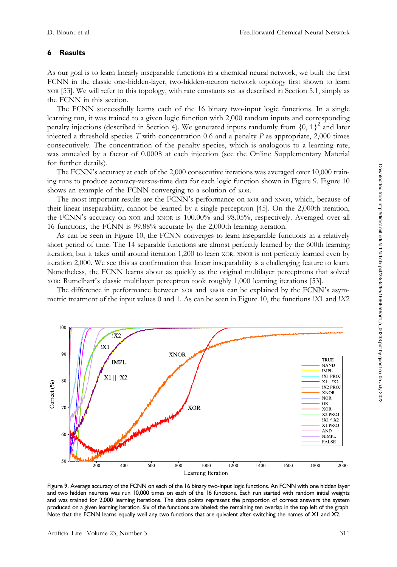### 6 Results

As our goal is to learn linearly inseparable functions in a chemical neural network, we built the first FCNN in the classic one-hidden-layer, two-hidden-neuron network topology first shown to learn XOR [53]. We will refer to this topology, with rate constants set as described in Section 5.1, simply as the FCNN in this section.

The FCNN successfully learns each of the 16 binary two-input logic functions. In a single learning run, it was trained to a given logic function with 2,000 random inputs and corresponding penalty injections (described in Section 4). We generated inputs randomly from  $\{0, 1\}^2$  and later injected a threshold species  $T$  with concentration 0.6 and a penalty  $P$  as appropriate, 2,000 times consecutively. The concentration of the penalty species, which is analogous to a learning rate, was annealed by a factor of 0.0008 at each injection (see the Online Supplementary Material for further details).

The FCNN's accuracy at each of the 2,000 consecutive iterations was averaged over 10,000 training runs to produce accuracy-versus-time data for each logic function shown in Figure 9. Figure 10 shows an example of the FCNN converging to a solution of XOR.

The most important results are the FCNN's performance on XOR and XNOR, which, because of their linear inseparability, cannot be learned by a single perceptron [45]. On the 2,000th iteration, the FCNN's accuracy on XOR and XNOR is 100.00% and 98.05%, respectively. Averaged over all 16 functions, the FCNN is 99.88% accurate by the 2,000th learning iteration.

As can be seen in Figure 10, the FCNN converges to learn inseparable functions in a relatively short period of time. The 14 separable functions are almost perfectly learned by the 600th learning iteration, but it takes until around iteration 1,200 to learn XOR. XNOR is not perfectly learned even by iteration 2,000. We see this as confirmation that linear inseparability is a challenging feature to learn. Nonetheless, the FCNN learns about as quickly as the original multilayer perceptrons that solved XOR: Rumelhart's classic multilayer perceptron took roughly 1,000 learning iterations [53].

The difference in performance between XOR and XNOR can be explained by the FCNN's asymmetric treatment of the input values 0 and 1. As can be seen in Figure 10, the functions !X1 and !X2



Figure 9. Average accuracy of the FCNN on each of the 16 binary two-input logic functions. An FCNN with one hidden layer and two hidden neurons was run 10,000 times on each of the 16 functions. Each run started with random initial weights and was trained for 2,000 learning iterations. The data points represent the proportion of correct answers the system produced on a given learning iteration. Six of the functions are labeled; the remaining ten overlap in the top left of the graph. Note that the FCNN learns equally well any two functions that are quivalent after switching the names of XI and X2.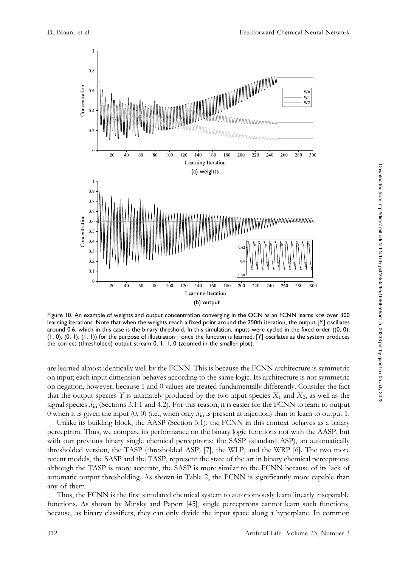

Figure 10. An example of weights and output concentration converging in the OCN as an FCNN learns xor over 300 learning iterations. Note that when the weights reach a fixed point around the 250th iteration, the output [Y] oscillates around 0.6, which in this case is the binary threshold. In this simulation, inputs were cycled in the fixed order ((0, 0), (1, 0), (0, 1), (1, 1)) for the purpose of illustration—once the function is learned, [Y] oscillates as the system produces the correct (thresholded) output stream 0, 1, 1, 0 (zoomed in the smaller plot ).

are learned almost identically well by the FCNN. This is because the FCNN architecture is symmetric on input; each input dimension behaves according to the same logic. Its architecture is not symmetric on negation, however, because 1 and 0 values are treated fundamentally differently. Consider the fact that the output species Y is ultimately produced by the two input species  $X_1$  and  $X_2$ , as well as the signal species  $S<sub>in</sub>$  (Sections 3.1.1 and 4.2). For this reason, it is easier for the FCNN to learn to output 0 when it is given the input  $(0, 0)$  (i.e., when only  $S<sub>in</sub>$  is present at injection) than to learn to output 1.

Unlike its building block, the AASP (Section 3.1), the FCNN in this context behaves as a binary perceptron. Thus, we compare its performance on the binary logic functions not with the AASP, but with our previous binary single chemical perceptrons: the SASP (standard ASP), an automatically thresholded version, the TASP (thresholded ASP) [7], the WLP, and the WRP [6]. The two more recent models, the SASP and the TASP, represent the state of the art in binary chemical perceptrons; although the TASP is more accurate, the SASP is more similar to the FCNN because of its lack of automatic output thresholding. As shown in Table 2, the FCNN is significantly more capable than any of them.

Thus, the FCNN is the first simulated chemical system to autonomously learn linearly inseparable functions. As shown by Minsky and Papert [45], single perceptrons cannot learn such functions, because, as binary classifiers, they can only divide the input space along a hyperplane. In common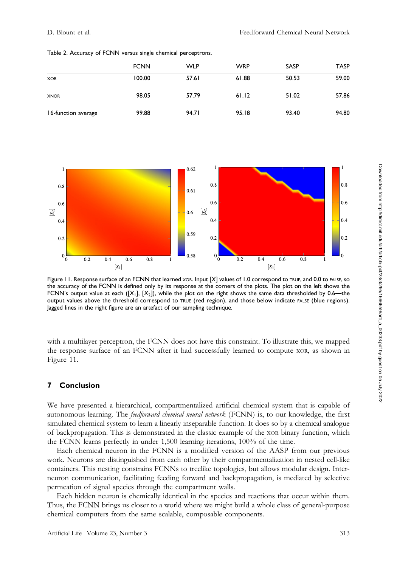|                     | <b>FCNN</b> | <b>WLP</b> | <b>WRP</b> | <b>SASP</b> | <b>TASP</b> |
|---------------------|-------------|------------|------------|-------------|-------------|
| <b>XOR</b>          | 100.00      | 57.61      | 61.88      | 50.53       | 59.00       |
| <b>XNOR</b>         | 98.05       | 57.79      | 61.12      | 51.02       | 57.86       |
| 16-function average | 99.88       | 94.71      | 95.18      | 93.40       | 94.80       |

Table 2. Accuracy of FCNN versus single chemical perceptrons.



Figure 11. Response surface of an FCNN that learned xor. Input [X] values of 1.0 correspond to TRUE, and 0.0 to FALSE, so the accuracy of the FCNN is defined only by its response at the corners of the plots. The plot on the left shows the FCNN's output value at each  $([X_1], [X_2])$ , while the plot on the right shows the same data thresholded by 0.6—the output values above the threshold correspond to TRUE (red region), and those below indicate FALSE (blue regions). Jagged lines in the right figure are an artefact of our sampling technique.

with a multilayer perceptron, the FCNN does not have this constraint. To illustrate this, we mapped the response surface of an FCNN after it had successfully learned to compute XOR, as shown in Figure 11.

#### 7 Conclusion

We have presented a hierarchical, compartmentalized artificial chemical system that is capable of autonomous learning. The feedforward chemical neural network (FCNN) is, to our knowledge, the first simulated chemical system to learn a linearly inseparable function. It does so by a chemical analogue of backpropagation. This is demonstrated in the classic example of the XOR binary function, which the FCNN learns perfectly in under 1,500 learning iterations, 100% of the time.

Each chemical neuron in the FCNN is a modified version of the AASP from our previous work. Neurons are distinguished from each other by their compartmentalization in nested cell-like containers. This nesting constrains FCNNs to treelike topologies, but allows modular design. Interneuron communication, facilitating feeding forward and backpropagation, is mediated by selective permeation of signal species through the compartment walls.

Each hidden neuron is chemically identical in the species and reactions that occur within them. Thus, the FCNN brings us closer to a world where we might build a whole class of general-purpose chemical computers from the same scalable, composable components.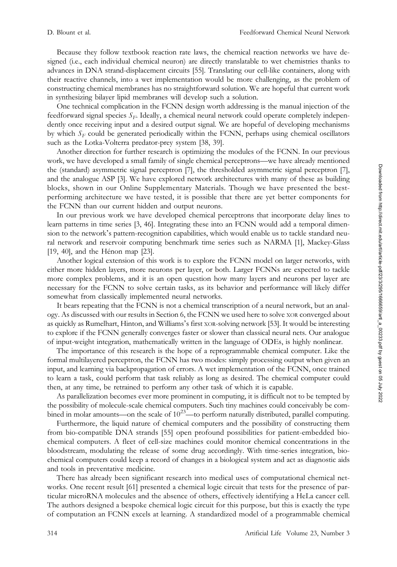Because they follow textbook reaction rate laws, the chemical reaction networks we have designed (i.e., each individual chemical neuron) are directly translatable to wet chemistries thanks to advances in DNA strand-displacement circuits [55]. Translating our cell-like containers, along with their reactive channels, into a wet implementation would be more challenging, as the problem of constructing chemical membranes has no straightforward solution. We are hopeful that current work in synthesizing bilayer lipid membranes will develop such a solution.

One technical complication in the FCNN design worth addressing is the manual injection of the feedforward signal species  $S_F$ . Ideally, a chemical neural network could operate completely independently once receiving input and a desired output signal. We are hopeful of developing mechanisms by which  $S_F$  could be generated periodically within the FCNN, perhaps using chemical oscillators such as the Lotka-Volterra predator-prey system [38, 39].

Another direction for further research is optimizing the modules of the FCNN. In our previous work, we have developed a small family of single chemical perceptrons—we have already mentioned the (standard) asymmetric signal perceptron [7], the thresholded asymmetric signal perceptron [7], and the analogue ASP [3]. We have explored network architectures with many of these as building blocks, shown in our Online Supplementary Materials. Though we have presented the bestperforming architecture we have tested, it is possible that there are yet better components for the FCNN than our current hidden and output neurons.

In our previous work we have developed chemical perceptrons that incorporate delay lines to learn patterns in time series [3, 46]. Integrating these into an FCNN would add a temporal dimension to the network's pattern-recognition capabilities, which would enable us to tackle standard neural network and reservoir computing benchmark time series such as NARMA [1], Mackey-Glass [19, 40], and the Hénon map [23].

Another logical extension of this work is to explore the FCNN model on larger networks, with either more hidden layers, more neurons per layer, or both. Larger FCNNs are expected to tackle more complex problems, and it is an open question how many layers and neurons per layer are necessary for the FCNN to solve certain tasks, as its behavior and performance will likely differ somewhat from classically implemented neural networks.

It bears repeating that the FCNN is not a chemical transcription of a neural network, but an analogy. As discussed with our results in Section 6, the FCNN we used here to solve XOR converged about as quickly as Rumelhart, Hinton, and Williams's first XOR-solving network [53]. It would be interesting to explore if the FCNN generally converges faster or slower than classical neural nets. Our analogue of input-weight integration, mathematically written in the language of ODEs, is highly nonlinear.

The importance of this research is the hope of a reprogrammable chemical computer. Like the formal multilayered perceptron, the FCNN has two modes: simply processing output when given an input, and learning via backpropagation of errors. A wet implementation of the FCNN, once trained to learn a task, could perform that task reliably as long as desired. The chemical computer could then, at any time, be retrained to perform any other task of which it is capable.

As parallelization becomes ever more prominent in computing, it is difficult not to be tempted by the possibility of molecule-scale chemical computers. Such tiny machines could conceivably be combined in molar amounts—on the scale of  $10^{23}$ —to perform naturally distributed, parallel computing.

Furthermore, the liquid nature of chemical computers and the possibility of constructing them from bio-compatible DNA strands [55] open profound possibilities for patient-embedded biochemical computers. A fleet of cell-size machines could monitor chemical concentrations in the bloodstream, modulating the release of some drug accordingly. With time-series integration, biochemical computers could keep a record of changes in a biological system and act as diagnostic aids and tools in preventative medicine.

There has already been significant research into medical uses of computational chemical networks. One recent result [61] presented a chemical logic circuit that tests for the presence of particular microRNA molecules and the absence of others, effectively identifying a HeLa cancer cell. The authors designed a bespoke chemical logic circuit for this purpose, but this is exactly the type of computation an FCNN excels at learning. A standardized model of a programmable chemical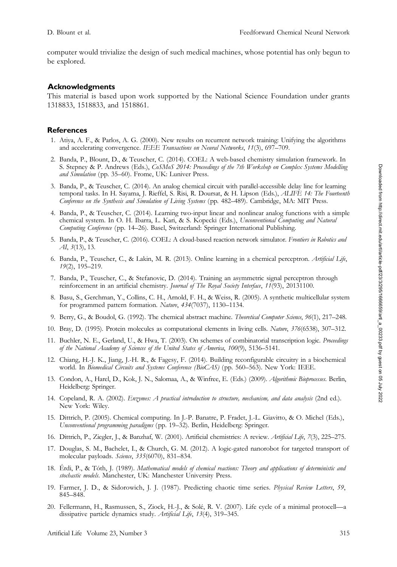computer would trivialize the design of such medical machines, whose potential has only begun to be explored.

#### Acknowledgments

This material is based upon work supported by the National Science Foundation under grants 1318833, 1518833, and 1518861.

#### **References**

- 1. Atiya, A. F., & Parlos, A. G. (2000). New results on recurrent network training: Unifying the algorithms and accelerating convergence. IEEE Transactions on Neural Networks, 11(3), 697-709.
- 2. Banda, P., Blount, D., & Teuscher, C. (2014). COEL: A web-based chemistry simulation framework. In S. Stepney & P. Andrews (Eds.), CoSMoS 2014: Proceedings of the 7th Workshop on Complex Systems Modelling and Simulation (pp. 35–60). Frome, UK: Luniver Press.
- 3. Banda, P., & Teuscher, C. (2014). An analog chemical circuit with parallel-accessible delay line for learning temporal tasks. In H. Sayama, J. Rieffel, S. Risi, R. Doursat, & H. Lipson (Eds.), ALIFE 14: The Fourteenth Conference on the Synthesis and Simulation of Living Systems (pp. 482–489). Cambridge, MA: MIT Press.
- 4. Banda, P., & Teuscher, C. (2014). Learning two-input linear and nonlinear analog functions with a simple chemical system. In O. H. Ibarra, L. Kari, & S. Kopecki (Eds.), Unconventional Computing and Natural Computing Conference (pp. 14–26). Basel, Switzerland: Springer International Publishing.
- 5. Banda, P., & Teuscher, C. (2016). COEL: A cloud-based reaction network simulator. Frontiers in Robotics and AI, 3(13), 13.
- 6. Banda, P., Teuscher, C., & Lakin, M. R. (2013). Online learning in a chemical perceptron. Artificial Life, 19(2), 195–219.
- 7. Banda, P., Teuscher, C., & Stefanovic, D. (2014). Training an asymmetric signal perceptron through reinforcement in an artificial chemistry. Journal of The Royal Society Interface, 11(93), 20131100.
- 8. Basu, S., Gerchman, Y., Collins, C. H., Arnold, F. H., & Weiss, R. (2005). A synthetic multicellular system for programmed pattern formation. Nature, 434(7037), 1130–1134.
- 9. Berry, G., & Boudol, G. (1992). The chemical abstract machine. Theoretical Computer Science, 96(1), 217-248.
- 10. Bray, D. (1995). Protein molecules as computational elements in living cells. Nature, 376(6538), 307-312.
- 11. Buchler, N. E., Gerland, U., & Hwa, T. (2003). On schemes of combinatorial transcription logic. Proceedings of the National Academy of Sciences of the United States of America, 100(9), 5136–5141.
- 12. Chiang, H.-J. K., Jiang, J.-H. R., & Fagesy, F. (2014). Building reconfigurable circuitry in a biochemical world. In Biomedical Circuits and Systems Conference (BioCAS) (pp. 560-563). New York: IEEE.
- 13. Condon, A., Harel, D., Kok, J. N., Salomaa, A., & Winfree, E. (Eds.) (2009). Algorithmic Bioprocesses. Berlin, Heidelberg: Springer.
- 14. Copeland, R. A. (2002). Enzymes: A practical introduction to structure, mechanism, and data analysis (2nd ed.). New York: Wiley.
- 15. Dittrich, P. (2005). Chemical computing. In J.-P. Banatre, P. Fradet, J.-L. Giavitto, & O. Michel (Eds.), Unconventional programming paradigms (pp. 19–32). Berlin, Heidelberg: Springer.
- 16. Dittrich, P., Ziegler, J., & Banzhaf, W. (2001). Artificial chemistries: A review. Artificial Life, 7(3), 225–275.
- 17. Douglas, S. M., Bachelet, I., & Church, G. M. (2012). A logic-gated nanorobot for targeted transport of molecular payloads. Science, 335(6070), 831–834.
- 18. Érdi, P., & Tóth, J. (1989). Mathematical models of chemical reactions: Theory and applications of deterministic and stochastic models. Manchester, UK: Manchester University Press.
- 19. Farmer, J. D., & Sidorowich, J. J. (1987). Predicting chaotic time series. Physical Review Letters, 59, 845–848.
- 20. Fellermann, H., Rasmussen, S., Ziock, H.-J., & Solé, R. V. (2007). Life cycle of a minimal protocell—a dissipative particle dynamics study. Artificial Life, 13(4), 319–345.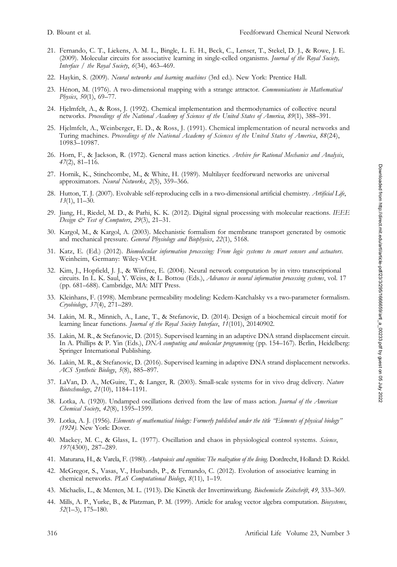- 21. Fernando, C. T., Liekens, A. M. L., Bingle, L. E. H., Beck, C., Lenser, T., Stekel, D. J., & Rowe, J. E. (2009). Molecular circuits for associative learning in single-celled organisms. Journal of the Royal Society, Interface / the Royal Society, 6(34), 463–469.
- 22. Haykin, S. (2009). Neural networks and learning machines (3rd ed.). New York: Prentice Hall.
- 23. Hénon, M. (1976). A two-dimensional mapping with a strange attractor. Communications in Mathematical Physics, 50(1), 69–77.
- 24. Hjelmfelt, A., & Ross, J. (1992). Chemical implementation and thermodynamics of collective neural networks. Proceedings of the National Academy of Sciences of the United States of America, 89(1), 388–391.
- 25. Hjelmfelt, A., Weinberger, E. D., & Ross, J. (1991). Chemical implementation of neural networks and Turing machines. Proceedings of the National Academy of Sciences of the United States of America, 88(24), 10983–10987.
- 26. Horn, F., & Jackson, R. (1972). General mass action kinetics. Archive for Rational Mechanics and Analysis, 47(2), 81–116.
- 27. Hornik, K., Stinchcombe, M., & White, H. (1989). Multilayer feedforward networks are universal approximators. Neural Networks, 2(5), 359–366.
- 28. Hutton, T. J. (2007). Evolvable self-reproducing cells in a two-dimensional artificial chemistry. Artificial Life, 13(1), 11–30.
- 29. Jiang, H., Riedel, M. D., & Parhi, K. K. (2012). Digital signal processing with molecular reactions. IEEE Design  $\dot{\mathcal{O}}$  Test of Computers, 29(3), 21-31.
- 30. Kargol, M., & Kargol, A. (2003). Mechanistic formalism for membrane transport generated by osmotic and mechanical pressure. General Physiology and Biophysics, 22(1), 5168.
- 31. Katz, E. (Ed.) (2012). Biomolecular information processing: From logic systems to smart sensors and actuators. Weinheim, Germany: Wiley-VCH.
- 32. Kim, J., Hopfield, J. J., & Winfree, E. (2004). Neural network computation by in vitro transcriptional circuits. In L. K. Saul, Y. Weiss, & L. Bottou (Eds.), Advances in neural information processing systems, vol. 17 (pp. 681–688). Cambridge, MA: MIT Press.
- 33. Kleinhans, F. (1998). Membrane permeability modeling: Kedem-Katchalsky vs a two-parameter formalism. Cryobiology, 37(4), 271–289.
- 34. Lakin, M. R., Minnich, A., Lane, T., & Stefanovic, D. (2014). Design of a biochemical circuit motif for learning linear functions. Journal of the Royal Society Interface, 11(101), 20140902.
- 35. Lakin, M. R., & Stefanovic, D. (2015). Supervised learning in an adaptive DNA strand displacement circuit. In A. Phillips & P. Yin (Eds.), DNA computing and molecular programming (pp. 154-167). Berlin, Heidelberg: Springer International Publishing.
- 36. Lakin, M. R., & Stefanovic, D. (2016). Supervised learning in adaptive DNA strand displacement networks. ACS Synthetic Biology, 5(8), 885–897.
- 37. LaVan, D. A., McGuire, T., & Langer, R. (2003). Small-scale systems for in vivo drug delivery. Nature Biotechnology, 21(10), 1184–1191.
- 38. Lotka, A. (1920). Undamped oscillations derived from the law of mass action. Journal of the American Chemical Society, 42(8), 1595-1599.
- 39. Lotka, A. J. (1956). Elements of mathematical biology: Formerly published under the title "Elements of physical biology" (1924). New York: Dover.
- 40. Mackey, M. C., & Glass, L. (1977). Oscillation and chaos in physiological control systems. Science, 197(4300), 287–289.
- 41. Maturana, H., & Varela, F. (1980). Autopoiesis and cognition: The realization of the living. Dordrecht, Holland: D. Reidel.
- 42. McGregor, S., Vasas, V., Husbands, P., & Fernando, C. (2012). Evolution of associative learning in chemical networks. PLoS Computational Biology, 8(11), 1-19.
- 43. Michaelis, L., & Menten, M. L. (1913). Die Kinetik der Invertinwirkung. Biochemische Zeitschrift, 49, 333–369.
- 44. Mills, A. P., Yurke, B., & Platzman, P. M. (1999). Article for analog vector algebra computation. Biosystems, 52(1–3), 175–180.